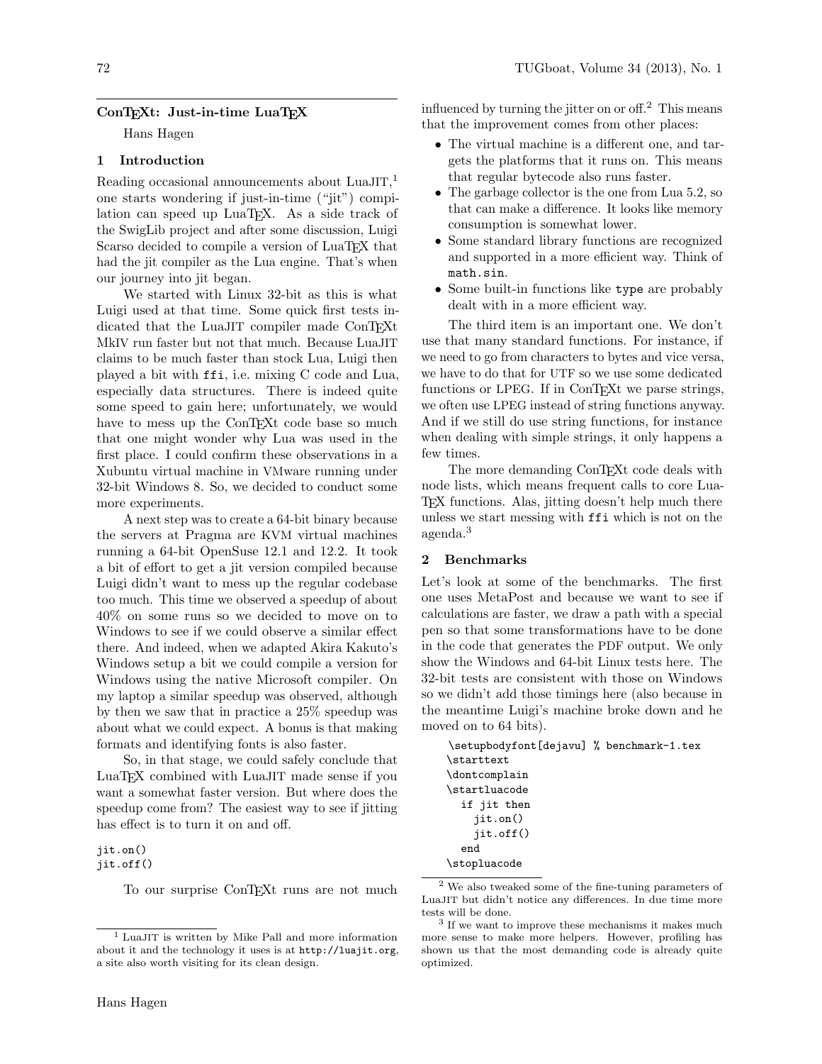# ConTEXt: Just-in-time LuaTEX

Hans Hagen

# 1 Introduction

Reading occasional announcements about  $\text{LuaJIT},^1$ one starts wondering if just-in-time ("jit") compilation can speed up LuaTEX. As a side track of the SwigLib project and after some discussion, Luigi Scarso decided to compile a version of LuaT<sub>EX</sub> that had the jit compiler as the Lua engine. That's when our journey into jit began.

We started with Linux 32-bit as this is what Luigi used at that time. Some quick first tests indicated that the LuaJIT compiler made ConTEXt MkIV run faster but not that much. Because LuaJIT claims to be much faster than stock Lua, Luigi then played a bit with ffi, i.e. mixing C code and Lua, especially data structures. There is indeed quite some speed to gain here; unfortunately, we would have to mess up the ConT<sub>EX</sub>t code base so much that one might wonder why Lua was used in the first place. I could confirm these observations in a Xubuntu virtual machine in VMware running under 32-bit Windows 8. So, we decided to conduct some more experiments.

A next step was to create a 64-bit binary because the servers at Pragma are KVM virtual machines running a 64-bit OpenSuse 12.1 and 12.2. It took a bit of effort to get a jit version compiled because Luigi didn't want to mess up the regular codebase too much. This time we observed a speedup of about 40% on some runs so we decided to move on to Windows to see if we could observe a similar effect there. And indeed, when we adapted Akira Kakuto's Windows setup a bit we could compile a version for Windows using the native Microsoft compiler. On my laptop a similar speedup was observed, although by then we saw that in practice a 25% speedup was about what we could expect. A bonus is that making formats and identifying fonts is also faster.

So, in that stage, we could safely conclude that LuaTEX combined with LuaJIT made sense if you want a somewhat faster version. But where does the speedup come from? The easiest way to see if jitting has effect is to turn it on and off.

# jit.on()

jit.off()

To our surprise ConT<sub>EX</sub>t runs are not much

influenced by turning the jitter on or off.<sup>2</sup> This means that the improvement comes from other places:

- The virtual machine is a different one, and targets the platforms that it runs on. This means that regular bytecode also runs faster.
- The garbage collector is the one from Lua 5.2, so that can make a difference. It looks like memory consumption is somewhat lower.
- Some standard library functions are recognized and supported in a more efficient way. Think of math.sin.
- Some built-in functions like type are probably dealt with in a more efficient way.

The third item is an important one. We don't use that many standard functions. For instance, if we need to go from characters to bytes and vice versa, we have to do that for UTF so we use some dedicated functions or LPEG. If in ConT<sub>E</sub>Xt we parse strings, we often use LPEG instead of string functions anyway. And if we still do use string functions, for instance when dealing with simple strings, it only happens a few times.

The more demanding ConTEXt code deals with node lists, which means frequent calls to core Lua-TEX functions. Alas, jitting doesn't help much there unless we start messing with ffi which is not on the agenda.<sup>3</sup>

## 2 Benchmarks

Let's look at some of the benchmarks. The first one uses MetaPost and because we want to see if calculations are faster, we draw a path with a special pen so that some transformations have to be done in the code that generates the PDF output. We only show the Windows and 64-bit Linux tests here. The 32-bit tests are consistent with those on Windows so we didn't add those timings here (also because in the meantime Luigi's machine broke down and he moved on to 64 bits).

\setupbodyfont[dejavu] % benchmark-1.tex \starttext \dontcomplain \startluacode if jit then jit.on() jit.off() end \stopluacode

<sup>1</sup> LuaJIT is written by Mike Pall and more information about it and the technology it uses is at http://luajit.org, a site also worth visiting for its clean design.

<sup>2</sup> We also tweaked some of the fine-tuning parameters of LuaJIT but didn't notice any differences. In due time more tests will be done.

<sup>3</sup> If we want to improve these mechanisms it makes much more sense to make more helpers. However, profiling has shown us that the most demanding code is already quite optimized.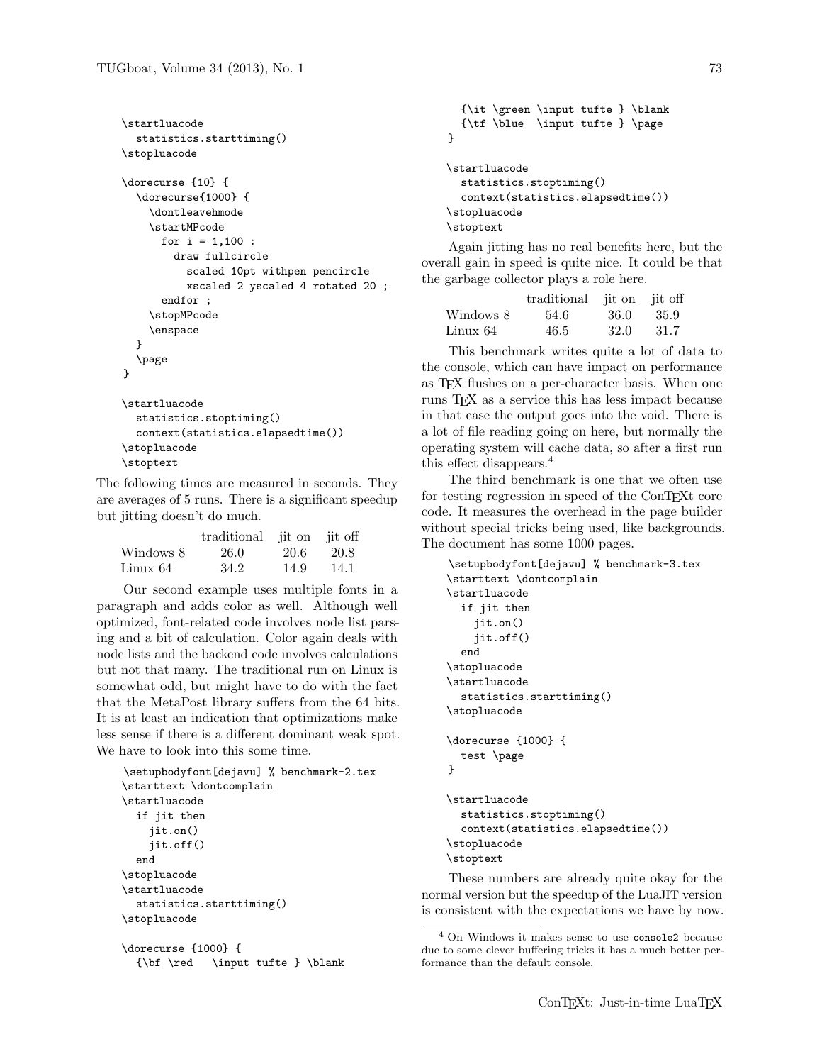```
\startluacode
  statistics.starttiming()
\stopluacode
\dorecurse {10} {
  \dorecurse{1000} {
    \dontleavehmode
    \startMPcode
      for i = 1,100:
        draw fullcircle
          scaled 10pt withpen pencircle
          xscaled 2 yscaled 4 rotated 20 ;
      endfor ;
    \stopMPcode
    \enspace
  }
  \page
}
\startluacode
  statistics.stoptiming()
  context(statistics.elapsedtime())
\stopluacode
\stoptext
```
The following times are measured in seconds. They are averages of 5 runs. There is a significant speedup but jitting doesn't do much.

|           | traditional jit on jit off |       |      |
|-----------|----------------------------|-------|------|
| Windows 8 | 26.0                       | -20.6 | 20.8 |
| Linux 64  | 34.2                       | 14.9  | 14.1 |

Our second example uses multiple fonts in a paragraph and adds color as well. Although well optimized, font-related code involves node list parsing and a bit of calculation. Color again deals with node lists and the backend code involves calculations but not that many. The traditional run on Linux is somewhat odd, but might have to do with the fact that the MetaPost library suffers from the 64 bits. It is at least an indication that optimizations make less sense if there is a different dominant weak spot. We have to look into this some time.

```
\setupbodyfont[dejavu] % benchmark-2.tex
\starttext \dontcomplain
\startluacode
  if jit then
    jit.on()
    jit.off()
  end
\stopluacode
\startluacode
  statistics.starttiming()
\stopluacode
```

```
\dorecurse {1000} {
  {\bf \red \in \mathsf{t}\
```

```
{\it \green \input tufte } \blank
  {\tf \blue \input tufte } \page
}
\startluacode
  statistics.stoptiming()
  context(statistics.elapsedtime())
\stopluacode
\stoptext
```
Again jitting has no real benefits here, but the overall gain in speed is quite nice. It could be that the garbage collector plays a role here.

|           | traditional | jit on jit off |       |
|-----------|-------------|----------------|-------|
| Windows 8 | 54.6        | -36.0          | -35.9 |
| Linux 64  | 46.5        | 32.0           | -31.7 |

This benchmark writes quite a lot of data to the console, which can have impact on performance as TEX flushes on a per-character basis. When one runs TEX as a service this has less impact because in that case the output goes into the void. There is a lot of file reading going on here, but normally the operating system will cache data, so after a first run this effect disappears.<sup>4</sup>

The third benchmark is one that we often use for testing regression in speed of the ConTEXt core code. It measures the overhead in the page builder without special tricks being used, like backgrounds. The document has some 1000 pages.

```
\setupbodyfont[dejavu] % benchmark-3.tex
\starttext \dontcomplain
\startluacode
  if jit then
    jit.on()
    jit.off()
  end
\stopluacode
\startluacode
  statistics.starttiming()
\stopluacode
\dorecurse {1000} {
  test \page
}
\startluacode
  statistics.stoptiming()
  context(statistics.elapsedtime())
\stopluacode
```

```
\stoptext
```
These numbers are already quite okay for the normal version but the speedup of the LuaJIT version is consistent with the expectations we have by now.

<sup>4</sup> On Windows it makes sense to use console2 because due to some clever buffering tricks it has a much better performance than the default console.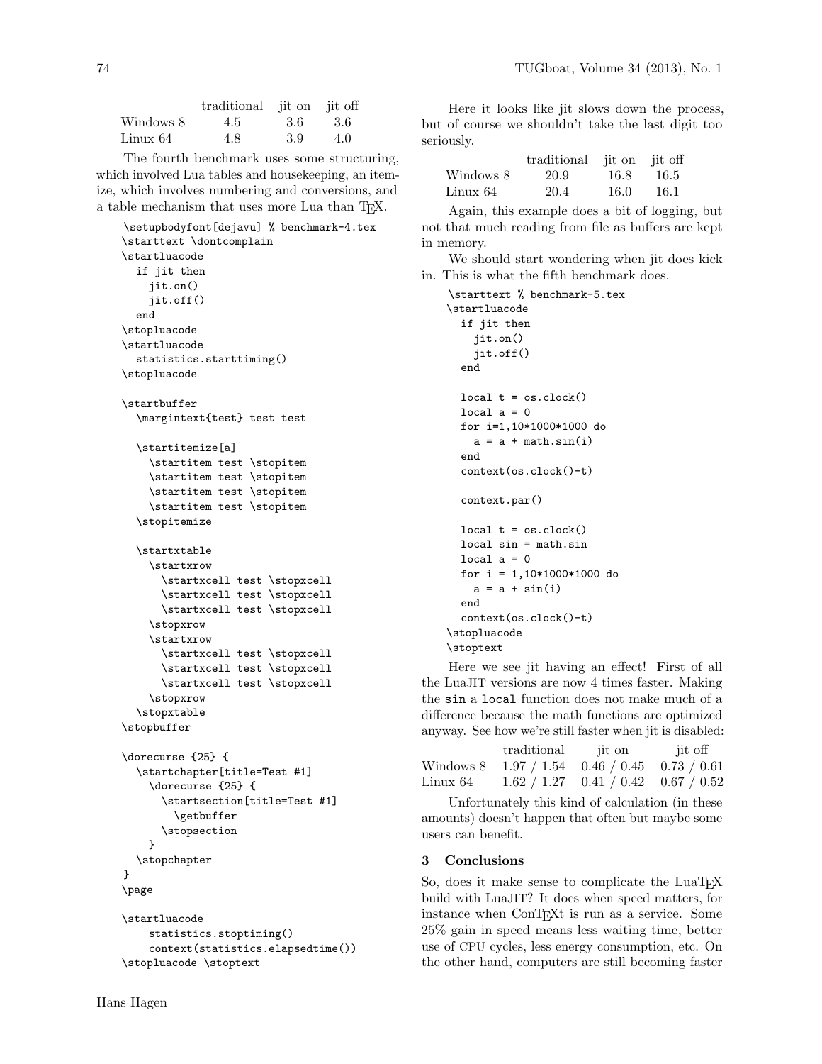|           | traditional jit on jit off |      |     |
|-----------|----------------------------|------|-----|
| Windows 8 | 4.5                        | -3.6 | 3.6 |
| Linux 64  | 4.8                        | 3.9  | 4.0 |

The fourth benchmark uses some structuring, which involved Lua tables and housekeeping, an itemize, which involves numbering and conversions, and a table mechanism that uses more Lua than TEX.

```
\setupbodyfont[dejavu] % benchmark-4.tex
\starttext \dontcomplain
\startluacode
  if jit then
    jit.on()
    jit.off()
  end
\stopluacode
\startluacode
  statistics.starttiming()
\stopluacode
\startbuffer
  \margintext{test} test test
  \startitemize[a]
    \startitem test \stopitem
    \startitem test \stopitem
    \startitem test \stopitem
    \startitem test \stopitem
  \stopitemize
  \startxtable
    \startxrow
      \startxcell test \stopxcell
      \startxcell test \stopxcell
      \startxcell test \stopxcell
    \stopxrow
    \startxrow
      \startxcell test \stopxcell
      \startxcell test \stopxcell
      \startxcell test \stopxcell
    \stopxrow
  \stopxtable
\stopbuffer
\dorecurse {25} {
  \startchapter[title=Test #1]
    \dorecurse {25} {
      \startsection[title=Test #1]
        \getbuffer
      \stopsection
    }
  \stopchapter
}
\page
\startluacode
    statistics.stoptiming()
    context(statistics.elapsedtime())
```

```
\stopluacode \stoptext
```
Here it looks like jit slows down the process, but of course we shouldn't take the last digit too seriously.

|           | traditional jit on jit off |       |       |
|-----------|----------------------------|-------|-------|
| Windows 8 | 20.9                       | -16.8 | -16.5 |
| Linux 64  | 20.4                       | -16.0 | 16.1  |

Again, this example does a bit of logging, but not that much reading from file as buffers are kept in memory.

We should start wondering when jit does kick in. This is what the fifth benchmark does.

```
\starttext % benchmark-5.tex
\startluacode
  if jit then
    jit.on()
    jit.off()
  end
  local t = os.close()local a = 0for i=1,10*1000*1000 do
    a = a + \text{math.sin}(i)end
  context(os.clock()-t)
  context.par()
  local t = os.close()local sin = math.sin
  local a = 0for i = 1,10*1000*1000 do
    a = a + sin(i)end
  context(os.clock()-t)
\stopluacode
\stoptext
```
Here we see jit having an effect! First of all the LuaJIT versions are now 4 times faster. Making the sin a local function does not make much of a difference because the math functions are optimized anyway. See how we're still faster when jit is disabled:

|          | traditional it on it off                      |  |
|----------|-----------------------------------------------|--|
|          | Windows 8 1.97 / 1.54 0.46 / 0.45 0.73 / 0.61 |  |
| Linux 64 | $1.62 / 1.27$ 0.41 / 0.42 0.67 / 0.52         |  |

Unfortunately this kind of calculation (in these amounts) doesn't happen that often but maybe some users can benefit.

## 3 Conclusions

So, does it make sense to complicate the LuaT<sub>EX</sub> build with LuaJIT? It does when speed matters, for instance when ConT<sub>E</sub>Xt is run as a service. Some 25% gain in speed means less waiting time, better use of CPU cycles, less energy consumption, etc. On the other hand, computers are still becoming faster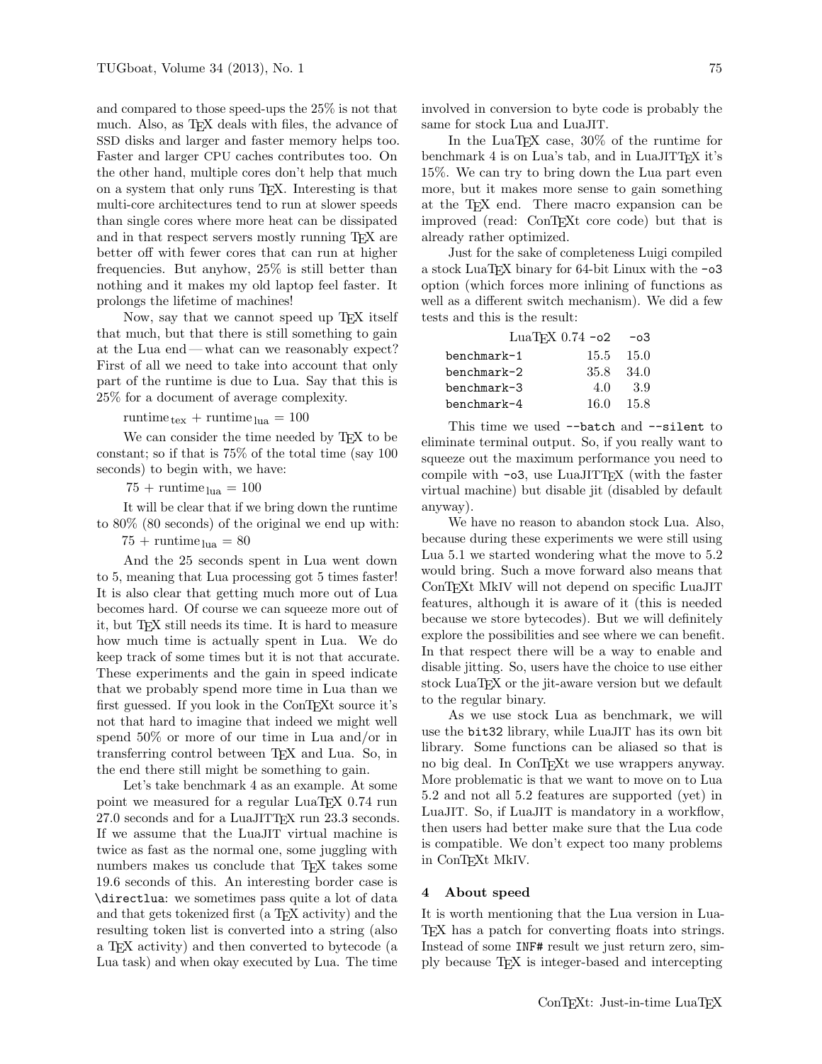and compared to those speed-ups the 25% is not that much. Also, as T<sub>E</sub>X deals with files, the advance of SSD disks and larger and faster memory helps too. Faster and larger CPU caches contributes too. On the other hand, multiple cores don't help that much on a system that only runs TEX. Interesting is that multi-core architectures tend to run at slower speeds than single cores where more heat can be dissipated and in that respect servers mostly running T<sub>EX</sub> are better off with fewer cores that can run at higher frequencies. But anyhow, 25% is still better than nothing and it makes my old laptop feel faster. It prolongs the lifetime of machines!

Now, say that we cannot speed up T<sub>E</sub>X itself that much, but that there is still something to gain at the Lua end— what can we reasonably expect? First of all we need to take into account that only part of the runtime is due to Lua. Say that this is 25% for a document of average complexity.

runtime  $t_{\text{ex}}$  + runtime  $t_{\text{ua}}$  = 100

We can consider the time needed by TEX to be constant; so if that is 75% of the total time (say 100 seconds) to begin with, we have:

 $75 + \text{runtime}_{\text{lua}} = 100$ 

It will be clear that if we bring down the runtime to 80% (80 seconds) of the original we end up with:

 $75 + \text{rutime}_{\text{lua}} = 80$ 

And the 25 seconds spent in Lua went down to 5, meaning that Lua processing got 5 times faster! It is also clear that getting much more out of Lua becomes hard. Of course we can squeeze more out of it, but TEX still needs its time. It is hard to measure how much time is actually spent in Lua. We do keep track of some times but it is not that accurate. These experiments and the gain in speed indicate that we probably spend more time in Lua than we first guessed. If you look in the ConT<sub>E</sub>Xt source it's not that hard to imagine that indeed we might well spend 50% or more of our time in Lua and/or in transferring control between TEX and Lua. So, in the end there still might be something to gain.

Let's take benchmark 4 as an example. At some point we measured for a regular LuaT<sub>EX</sub> 0.74 run 27.0 seconds and for a LuaJITTEX run 23.3 seconds. If we assume that the LuaJIT virtual machine is twice as fast as the normal one, some juggling with numbers makes us conclude that TEX takes some 19.6 seconds of this. An interesting border case is \directlua: we sometimes pass quite a lot of data and that gets tokenized first (a T<sub>EX</sub> activity) and the resulting token list is converted into a string (also a TEX activity) and then converted to bytecode (a Lua task) and when okay executed by Lua. The time

involved in conversion to byte code is probably the same for stock Lua and LuaJIT.

In the LuaTEX case, 30% of the runtime for benchmark 4 is on Lua's tab, and in LuaJITTFX it's 15%. We can try to bring down the Lua part even more, but it makes more sense to gain something at the TEX end. There macro expansion can be improved (read: ConTEXt core code) but that is already rather optimized.

Just for the sake of completeness Luigi compiled a stock LuaT<sub>EX</sub> binary for 64-bit Linux with the  $-$ o3 option (which forces more inlining of functions as well as a different switch mechanism). We did a few tests and this is the result:

| LuaT <sub>F</sub> X $0.74 -02 -03$ |               |        |
|------------------------------------|---------------|--------|
| benchmark-1                        | $15.5$ $15.0$ |        |
| benchmark-2                        | 35.8          | - 34.0 |
| benchmark-3                        | 4.0           | -3.9   |
| benchmark-4                        | 16.0 15.8     |        |

This time we used --batch and --silent to eliminate terminal output. So, if you really want to squeeze out the maximum performance you need to compile with  $\sim$  -o3, use LuaJITT<sub>EX</sub> (with the faster virtual machine) but disable jit (disabled by default anyway).

We have no reason to abandon stock Lua. Also, because during these experiments we were still using Lua 5.1 we started wondering what the move to 5.2 would bring. Such a move forward also means that ConTEXt MkIV will not depend on specific LuaJIT features, although it is aware of it (this is needed because we store bytecodes). But we will definitely explore the possibilities and see where we can benefit. In that respect there will be a way to enable and disable jitting. So, users have the choice to use either stock LuaT<sub>EX</sub> or the jit-aware version but we default to the regular binary.

As we use stock Lua as benchmark, we will use the bit32 library, while LuaJIT has its own bit library. Some functions can be aliased so that is no big deal. In ConTEXt we use wrappers anyway. More problematic is that we want to move on to Lua 5.2 and not all 5.2 features are supported (yet) in LuaJIT. So, if LuaJIT is mandatory in a workflow, then users had better make sure that the Lua code is compatible. We don't expect too many problems in ConTEXt MkIV.

## 4 About speed

It is worth mentioning that the Lua version in Lua-TEX has a patch for converting floats into strings. Instead of some INF# result we just return zero, simply because TEX is integer-based and intercepting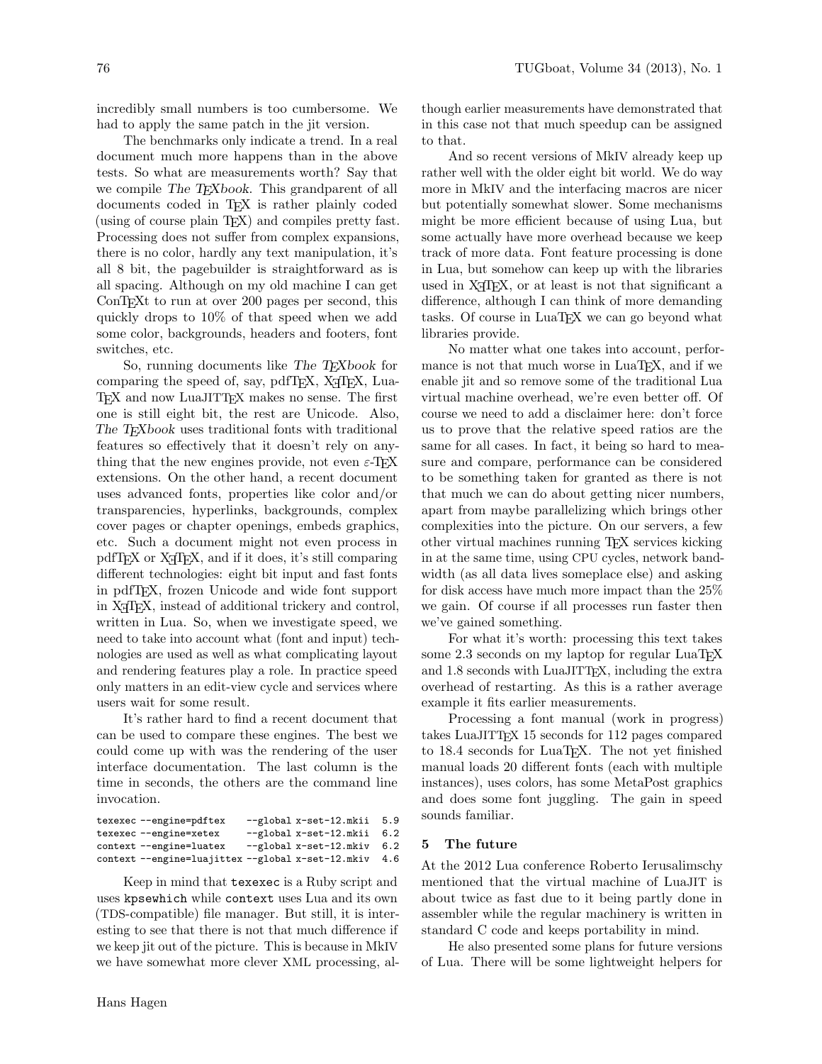incredibly small numbers is too cumbersome. We had to apply the same patch in the jit version.

The benchmarks only indicate a trend. In a real document much more happens than in the above tests. So what are measurements worth? Say that we compile The T<sub>E</sub>Xbook. This grandparent of all documents coded in TEX is rather plainly coded (using of course plain TEX) and compiles pretty fast. Processing does not suffer from complex expansions, there is no color, hardly any text manipulation, it's all 8 bit, the pagebuilder is straightforward as is all spacing. Although on my old machine I can get ConT<sub>EX</sub>t to run at over 200 pages per second, this quickly drops to 10% of that speed when we add some color, backgrounds, headers and footers, font switches, etc.

So, running documents like The T<sub>E</sub>Xbook for comparing the speed of, say,  $pdfTFX$ ,  $X\overline{f}FX$ , Lua-TEX and now LuaJITTEX makes no sense. The first one is still eight bit, the rest are Unicode. Also, The T<sub>E</sub>Xbook uses traditional fonts with traditional features so effectively that it doesn't rely on anything that the new engines provide, not even  $\varepsilon$ -T<sub>E</sub>X extensions. On the other hand, a recent document uses advanced fonts, properties like color and/or transparencies, hyperlinks, backgrounds, complex cover pages or chapter openings, embeds graphics, etc. Such a document might not even process in pdfT<sub>EX</sub> or X<sub>T</sub>T<sub>EX</sub>, and if it does, it's still comparing different technologies: eight bit input and fast fonts in pdfTEX, frozen Unicode and wide font support in X<sub>T</sub>T<sub>E</sub>X, instead of additional trickery and control, written in Lua. So, when we investigate speed, we need to take into account what (font and input) technologies are used as well as what complicating layout and rendering features play a role. In practice speed only matters in an edit-view cycle and services where users wait for some result.

It's rather hard to find a recent document that can be used to compare these engines. The best we could come up with was the rendering of the user interface documentation. The last column is the time in seconds, the others are the command line invocation.

texexec --engine=pdftex --global x-set-12.mkii 5.9<br>texexec --engine=xetex --global x-set-12.mkii 6.2  $-$ global x-set-12.mkii context --engine=luatex --global x-set-12.mkiv 6.2 context --engine=luajittex --global x-set-12.mkiv 4.6

Keep in mind that texexec is a Ruby script and uses kpsewhich while context uses Lua and its own (TDS-compatible) file manager. But still, it is interesting to see that there is not that much difference if we keep jit out of the picture. This is because in MkIV we have somewhat more clever XML processing, although earlier measurements have demonstrated that in this case not that much speedup can be assigned to that.

And so recent versions of MkIV already keep up rather well with the older eight bit world. We do way more in MkIV and the interfacing macros are nicer but potentially somewhat slower. Some mechanisms might be more efficient because of using Lua, but some actually have more overhead because we keep track of more data. Font feature processing is done in Lua, but somehow can keep up with the libraries used in  $X \not\uparrow T F X$ , or at least is not that significant a difference, although I can think of more demanding tasks. Of course in LuaTEX we can go beyond what libraries provide.

No matter what one takes into account, performance is not that much worse in LuaT<sub>EX</sub>, and if we enable jit and so remove some of the traditional Lua virtual machine overhead, we're even better off. Of course we need to add a disclaimer here: don't force us to prove that the relative speed ratios are the same for all cases. In fact, it being so hard to measure and compare, performance can be considered to be something taken for granted as there is not that much we can do about getting nicer numbers, apart from maybe parallelizing which brings other complexities into the picture. On our servers, a few other virtual machines running TEX services kicking in at the same time, using CPU cycles, network bandwidth (as all data lives someplace else) and asking for disk access have much more impact than the 25% we gain. Of course if all processes run faster then we've gained something.

For what it's worth: processing this text takes some 2.3 seconds on my laptop for regular LuaT<sub>E</sub>X and 1.8 seconds with LuaJITTEX, including the extra overhead of restarting. As this is a rather average example it fits earlier measurements.

Processing a font manual (work in progress) takes LuaJITTEX 15 seconds for 112 pages compared to 18.4 seconds for LuaT<sub>EX</sub>. The not yet finished manual loads 20 different fonts (each with multiple instances), uses colors, has some MetaPost graphics and does some font juggling. The gain in speed sounds familiar.

## 5 The future

At the 2012 Lua conference Roberto Ierusalimschy mentioned that the virtual machine of LuaJIT is about twice as fast due to it being partly done in assembler while the regular machinery is written in standard C code and keeps portability in mind.

He also presented some plans for future versions of Lua. There will be some lightweight helpers for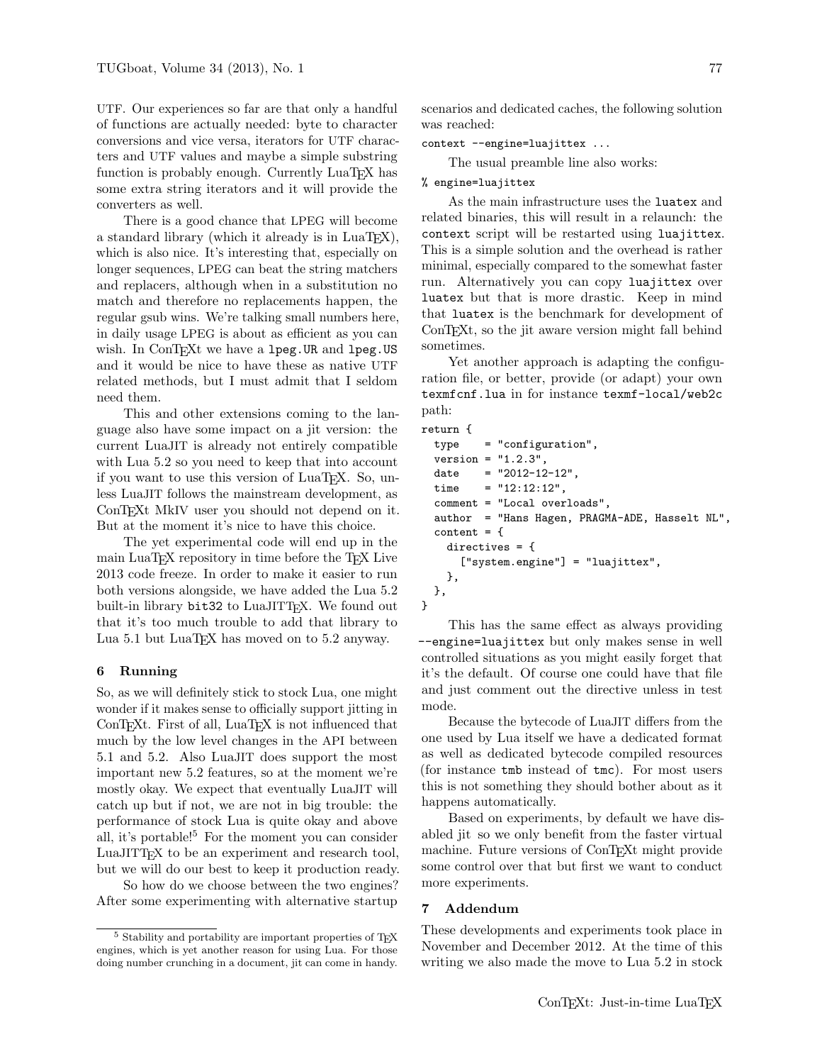UTF. Our experiences so far are that only a handful of functions are actually needed: byte to character conversions and vice versa, iterators for UTF characters and UTF values and maybe a simple substring function is probably enough. Currently LuaT<sub>EX</sub> has some extra string iterators and it will provide the converters as well.

There is a good chance that LPEG will become a standard library (which it already is in  $LuaTFX$ ), which is also nice. It's interesting that, especially on longer sequences, LPEG can beat the string matchers and replacers, although when in a substitution no match and therefore no replacements happen, the regular gsub wins. We're talking small numbers here, in daily usage LPEG is about as efficient as you can wish. In ConTFXt we have a lpeg.UR and lpeg.US and it would be nice to have these as native UTF related methods, but I must admit that I seldom need them.

This and other extensions coming to the language also have some impact on a jit version: the current LuaJIT is already not entirely compatible with Lua 5.2 so you need to keep that into account if you want to use this version of LuaT<sub>EX</sub>. So, unless LuaJIT follows the mainstream development, as ConTEXt MkIV user you should not depend on it. But at the moment it's nice to have this choice.

The yet experimental code will end up in the main LuaTEX repository in time before the TEX Live 2013 code freeze. In order to make it easier to run both versions alongside, we have added the Lua 5.2 built-in library bit32 to LuaJITTFX. We found out that it's too much trouble to add that library to Lua 5.1 but LuaT<sub>EX</sub> has moved on to 5.2 anyway.

## 6 Running

So, as we will definitely stick to stock Lua, one might wonder if it makes sense to officially support jitting in ConTEXt. First of all, LuaTEX is not influenced that much by the low level changes in the API between 5.1 and 5.2. Also LuaJIT does support the most important new 5.2 features, so at the moment we're mostly okay. We expect that eventually LuaJIT will catch up but if not, we are not in big trouble: the performance of stock Lua is quite okay and above all, it's portable!<sup>5</sup> For the moment you can consider LuaJITT<sub>EX</sub> to be an experiment and research tool, but we will do our best to keep it production ready.

So how do we choose between the two engines? After some experimenting with alternative startup

scenarios and dedicated caches, the following solution was reached:

context --engine=luajittex ...

The usual preamble line also works:

### % engine=luajittex

As the main infrastructure uses the luatex and related binaries, this will result in a relaunch: the context script will be restarted using luajittex. This is a simple solution and the overhead is rather minimal, especially compared to the somewhat faster run. Alternatively you can copy luajittex over luatex but that is more drastic. Keep in mind that luatex is the benchmark for development of ConTEXt, so the jit aware version might fall behind sometimes.

Yet another approach is adapting the configuration file, or better, provide (or adapt) your own texmfcnf.lua in for instance texmf-local/web2c path:

```
return {
```

```
type = "configuration",
  version = "1.2.3",date = "2012-12-12",
  time = "12:12:12",comment = "Local overloads",
  author = "Hans Hagen, PRAGMA-ADE, Hasselt NL",
  content = fdirectives = {
      ["system.engine"] = "luajittex",
   },
 },
}
```
This has the same effect as always providing --engine=luajittex but only makes sense in well controlled situations as you might easily forget that it's the default. Of course one could have that file and just comment out the directive unless in test mode.

Because the bytecode of LuaJIT differs from the one used by Lua itself we have a dedicated format as well as dedicated bytecode compiled resources (for instance tmb instead of tmc). For most users this is not something they should bother about as it happens automatically.

Based on experiments, by default we have disabled jit so we only benefit from the faster virtual machine. Future versions of ConT<sub>E</sub>Xt might provide some control over that but first we want to conduct more experiments.

## 7 Addendum

These developments and experiments took place in November and December 2012. At the time of this writing we also made the move to Lua 5.2 in stock

<sup>&</sup>lt;sup>5</sup> Stability and portability are important properties of T<sub>E</sub>X engines, which is yet another reason for using Lua. For those doing number crunching in a document, jit can come in handy.